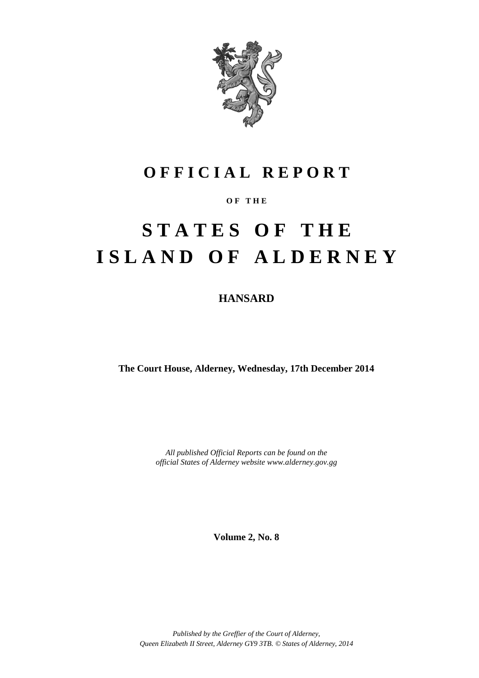

# **O F F I C I A L R E P O R T**

### **O F T H E**

# **S T A T E S O F T H E I S L A N D O F A L D E R N E Y**

**HANSARD**

**The Court House, Alderney, Wednesday, 17th December 2014**

*All published Official Reports can be found on the official States of Alderney website www.alderney.gov.gg*

**Volume 2, No. 8**

*Published by the Greffier of the Court of Alderney, Queen Elizabeth II Street, Alderney GY9 3TB. © States of Alderney, 2014*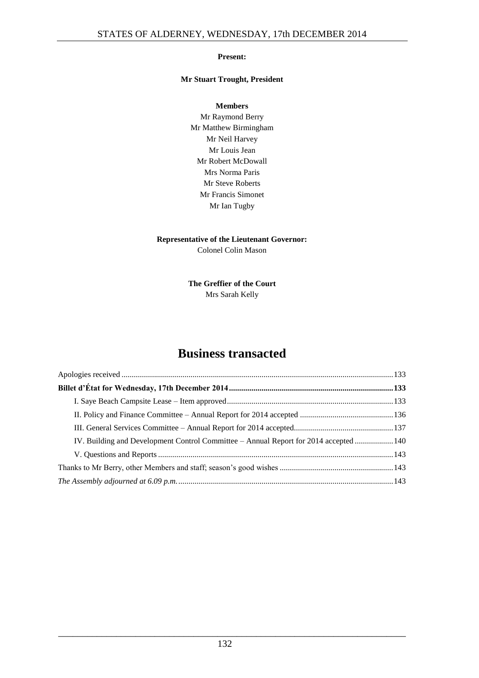#### **Present:**

#### **Mr Stuart Trought, President**

**Members** Mr Raymond Berry Mr Matthew Birmingham Mr Neil Harvey Mr Louis Jean Mr Robert McDowall Mrs Norma Paris Mr Steve Roberts Mr Francis Simonet Mr Ian Tugby

### **Representative of the Lieutenant Governor:**

Colonel Colin Mason

**The Greffier of the Court** Mrs Sarah Kelly

### **Business transacted**

| IV. Building and Development Control Committee – Annual Report for 2014 accepted  140 |  |
|---------------------------------------------------------------------------------------|--|
|                                                                                       |  |
|                                                                                       |  |
|                                                                                       |  |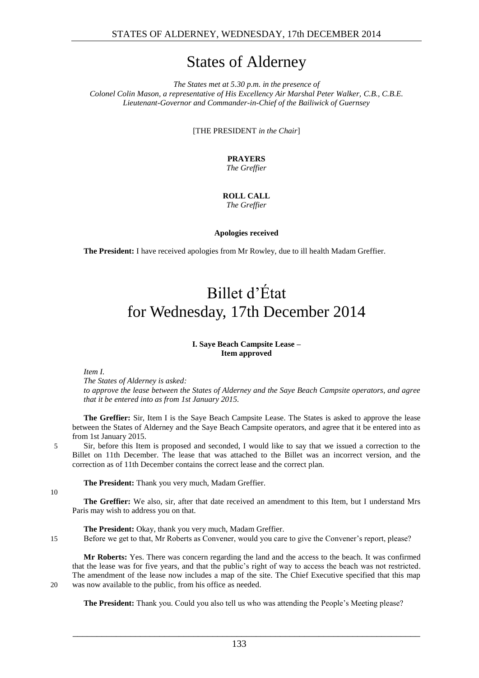## States of Alderney

*The States met at 5.30 p.m. in the presence of Colonel Colin Mason, a representative of His Excellency Air Marshal Peter Walker, C.B., C.B.E. Lieutenant-Governor and Commander-in-Chief of the Bailiwick of Guernsey*

[THE PRESIDENT *in the Chair*]

#### **PRAYERS** *The Greffier*

## **ROLL CALL**

*The Greffier*

**Apologies received**

<span id="page-2-1"></span><span id="page-2-0"></span>**The President:** I have received apologies from Mr Rowley, due to ill health Madam Greffier.

# Billet d'État for Wednesday, 17th December 2014

#### **I. Saye Beach Campsite Lease – Item approved**

#### <span id="page-2-2"></span>*Item I.*

*The States of Alderney is asked:*

*to approve the lease between the States of Alderney and the Saye Beach Campsite operators, and agree that it be entered into as from 1st January 2015.* 

**The Greffier:** Sir, Item I is the Saye Beach Campsite Lease. The States is asked to approve the lease between the States of Alderney and the Saye Beach Campsite operators, and agree that it be entered into as from 1st January 2015.

5 Sir, before this Item is proposed and seconded, I would like to say that we issued a correction to the Billet on 11th December. The lease that was attached to the Billet was an incorrect version, and the correction as of 11th December contains the correct lease and the correct plan.

**The President:** Thank you very much, Madam Greffier.

 $1<sub>0</sub>$ 

**The Greffier:** We also, sir, after that date received an amendment to this Item, but I understand Mrs Paris may wish to address you on that.

**The President:** Okay, thank you very much, Madam Greffier.

15 Before we get to that, Mr Roberts as Convener, would you care to give the Convener's report, please?

**Mr Roberts:** Yes. There was concern regarding the land and the access to the beach. It was confirmed that the lease was for five years, and that the public's right of way to access the beach was not restricted. The amendment of the lease now includes a map of the site. The Chief Executive specified that this map 20 was now available to the public, from his office as needed.

**The President:** Thank you. Could you also tell us who was attending the People's Meeting please?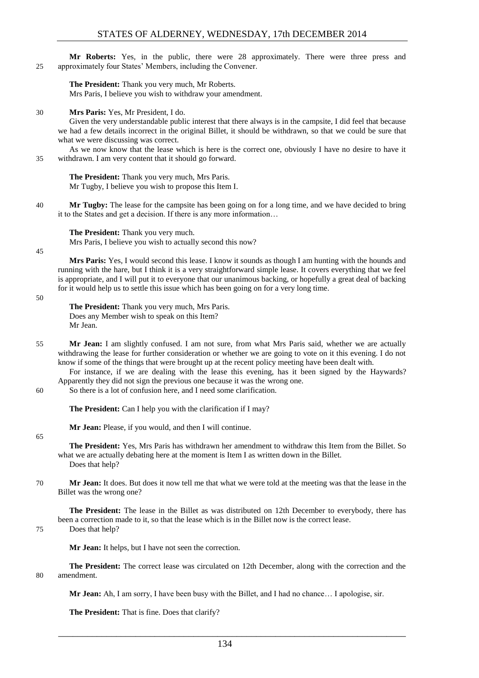**Mr Roberts:** Yes, in the public, there were 28 approximately. There were three press and 25 approximately four States' Members, including the Convener.

**The President:** Thank you very much, Mr Roberts. Mrs Paris, I believe you wish to withdraw your amendment.

#### 30 **Mrs Paris:** Yes, Mr President, I do.

Given the very understandable public interest that there always is in the campsite, I did feel that because we had a few details incorrect in the original Billet, it should be withdrawn, so that we could be sure that what we were discussing was correct.

As we now know that the lease which is here is the correct one, obviously I have no desire to have it 35 withdrawn. I am very content that it should go forward.

**The President:** Thank you very much, Mrs Paris. Mr Tugby, I believe you wish to propose this Item I.

40 **Mr Tugby:** The lease for the campsite has been going on for a long time, and we have decided to bring it to the States and get a decision. If there is any more information…

**The President:** Thank you very much. Mrs Paris, I believe you wish to actually second this now?

45

**Mrs Paris:** Yes, I would second this lease. I know it sounds as though I am hunting with the hounds and running with the hare, but I think it is a very straightforward simple lease. It covers everything that we feel is appropriate, and I will put it to everyone that our unanimous backing, or hopefully a great deal of backing for it would help us to settle this issue which has been going on for a very long time.

#### 50

**The President:** Thank you very much, Mrs Paris. Does any Member wish to speak on this Item? Mr Jean.

55 **Mr Jean:** I am slightly confused. I am not sure, from what Mrs Paris said, whether we are actually withdrawing the lease for further consideration or whether we are going to vote on it this evening. I do not know if some of the things that were brought up at the recent policy meeting have been dealt with.

For instance, if we are dealing with the lease this evening, has it been signed by the Haywards? Apparently they did not sign the previous one because it was the wrong one.

60 So there is a lot of confusion here, and I need some clarification.

**The President:** Can I help you with the clarification if I may?

**Mr Jean:** Please, if you would, and then I will continue.

#### 65

**The President:** Yes, Mrs Paris has withdrawn her amendment to withdraw this Item from the Billet. So what we are actually debating here at the moment is Item I as written down in the Billet. Does that help?

70 **Mr Jean:** It does. But does it now tell me that what we were told at the meeting was that the lease in the Billet was the wrong one?

**The President:** The lease in the Billet as was distributed on 12th December to everybody, there has been a correction made to it, so that the lease which is in the Billet now is the correct lease. 75 Does that help?

**Mr Jean:** It helps, but I have not seen the correction.

**The President:** The correct lease was circulated on 12th December, along with the correction and the 80 amendment.

**Mr Jean:** Ah, I am sorry, I have been busy with the Billet, and I had no chance… I apologise, sir.

**The President:** That is fine. Does that clarify?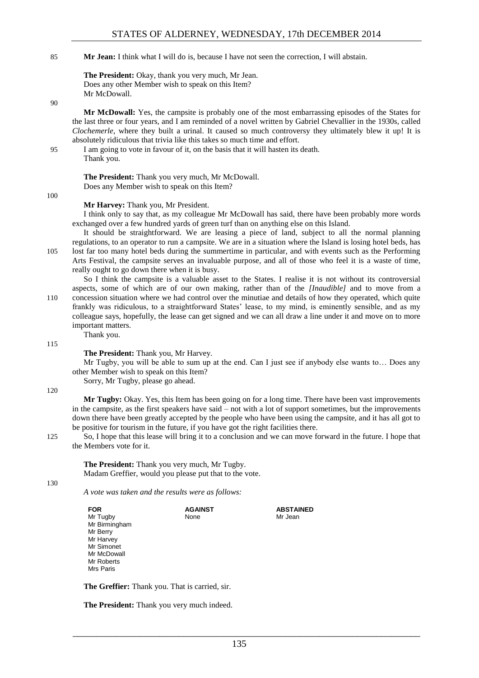#### 85 **Mr Jean:** I think what I will do is, because I have not seen the correction, I will abstain.

**The President:** Okay, thank you very much, Mr Jean. Does any other Member wish to speak on this Item? Mr McDowall.

90

100

**Mr McDowall:** Yes, the campsite is probably one of the most embarrassing episodes of the States for the last three or four years, and I am reminded of a novel written by Gabriel Chevallier in the 1930s, called *Clochemerle*, where they built a urinal. It caused so much controversy they ultimately blew it up! It is absolutely ridiculous that trivia like this takes so much time and effort.

95 I am going to vote in favour of it, on the basis that it will hasten its death. Thank you.

> **The President:** Thank you very much, Mr McDowall. Does any Member wish to speak on this Item?

**Mr Harvey:** Thank you, Mr President.

I think only to say that, as my colleague Mr McDowall has said, there have been probably more words exchanged over a few hundred yards of green turf than on anything else on this Island.

It should be straightforward. We are leasing a piece of land, subject to all the normal planning regulations, to an operator to run a campsite. We are in a situation where the Island is losing hotel beds, has 105 lost far too many hotel beds during the summertime in particular, and with events such as the Performing Arts Festival, the campsite serves an invaluable purpose, and all of those who feel it is a waste of time, really ought to go down there when it is busy.

So I think the campsite is a valuable asset to the States. I realise it is not without its controversial aspects, some of which are of our own making, rather than of the *[Inaudible]* and to move from a 110 concession situation where we had control over the minutiae and details of how they operated, which quite frankly was ridiculous, to a straightforward States' lease, to my mind, is eminently sensible, and as my colleague says, hopefully, the lease can get signed and we can all draw a line under it and move on to more important matters.

115

**The President:** Thank you, Mr Harvey.

Mr Tugby, you will be able to sum up at the end. Can I just see if anybody else wants to… Does any other Member wish to speak on this Item?

Sorry, Mr Tugby, please go ahead.

Thank you.

120

**Mr Tugby:** Okay. Yes, this Item has been going on for a long time. There have been vast improvements in the campsite, as the first speakers have said – not with a lot of support sometimes, but the improvements down there have been greatly accepted by the people who have been using the campsite, and it has all got to be positive for tourism in the future, if you have got the right facilities there.

125 So, I hope that this lease will bring it to a conclusion and we can move forward in the future. I hope that the Members vote for it.

**The President:** Thank you very much, Mr Tugby. Madam Greffier, would you please put that to the vote.

130

*A vote was taken and the results were as follows:*

| <b>FOR</b>    | <b>AGAINST</b> | <b>ABSTAINED</b> |
|---------------|----------------|------------------|
| Mr Tugby      | None           | Mr Jean          |
| Mr Birmingham |                |                  |
| Mr Berry      |                |                  |
| Mr Harvey     |                |                  |
| Mr Simonet    |                |                  |
| Mr McDowall   |                |                  |
| Mr Roberts    |                |                  |
| Mrs Paris     |                |                  |
|               |                |                  |

**The Greffier:** Thank you. That is carried, sir.

**The President:** Thank you very much indeed.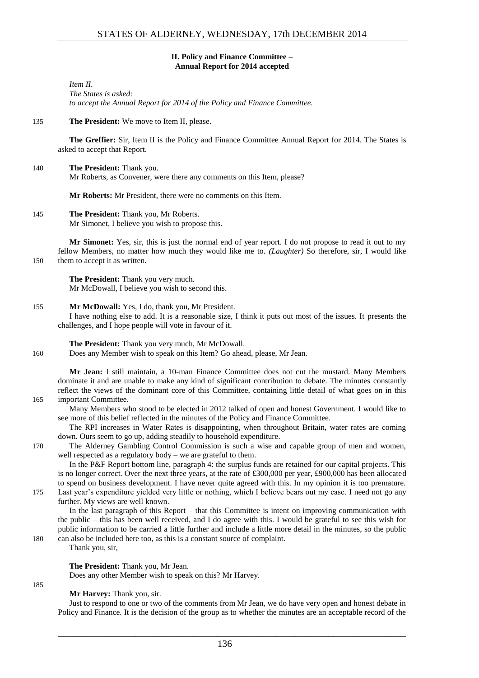#### **II. Policy and Finance Committee – Annual Report for 2014 accepted**

<span id="page-5-0"></span>*Item II. The States is asked: to accept the Annual Report for 2014 of the Policy and Finance Committee.* 

135 **The President:** We move to Item II, please.

**The Greffier:** Sir, Item II is the Policy and Finance Committee Annual Report for 2014. The States is asked to accept that Report.

140 **The President:** Thank you. Mr Roberts, as Convener, were there any comments on this Item, please?

**Mr Roberts:** Mr President, there were no comments on this Item.

145 **The President:** Thank you, Mr Roberts. Mr Simonet, I believe you wish to propose this.

**Mr Simonet:** Yes, sir, this is just the normal end of year report. I do not propose to read it out to my fellow Members, no matter how much they would like me to. *(Laughter)* So therefore, sir, I would like 150 them to accept it as written.

**The President:** Thank you very much. Mr McDowall, I believe you wish to second this.

155 **Mr McDowall:** Yes, I do, thank you, Mr President.

I have nothing else to add. It is a reasonable size, I think it puts out most of the issues. It presents the challenges, and I hope people will vote in favour of it.

**The President:** Thank you very much, Mr McDowall.

160 Does any Member wish to speak on this Item? Go ahead, please, Mr Jean.

**Mr Jean:** I still maintain, a 10-man Finance Committee does not cut the mustard. Many Members dominate it and are unable to make any kind of significant contribution to debate. The minutes constantly reflect the views of the dominant core of this Committee, containing little detail of what goes on in this 165 important Committee.

Many Members who stood to be elected in 2012 talked of open and honest Government. I would like to see more of this belief reflected in the minutes of the Policy and Finance Committee.

The RPI increases in Water Rates is disappointing, when throughout Britain, water rates are coming down. Ours seem to go up, adding steadily to household expenditure.

185

170 The Alderney Gambling Control Commission is such a wise and capable group of men and women, well respected as a regulatory body – we are grateful to them.

In the P&F Report bottom line, paragraph 4: the surplus funds are retained for our capital projects. This is no longer correct. Over the next three years, at the rate of £300,000 per year, £900,000 has been allocated to spend on business development. I have never quite agreed with this. In my opinion it is too premature. 175 Last year's expenditure yielded very little or nothing, which I believe bears out my case. I need not go any

further. My views are well known.

In the last paragraph of this Report – that this Committee is intent on improving communication with the public – this has been well received, and I do agree with this. I would be grateful to see this wish for public information to be carried a little further and include a little more detail in the minutes, so the public 180 can also be included here too, as this is a constant source of complaint.

Thank you, sir,

#### **The President:** Thank you, Mr Jean.

Does any other Member wish to speak on this? Mr Harvey.

#### **Mr Harvey:** Thank you, sir.

Just to respond to one or two of the comments from Mr Jean, we do have very open and honest debate in Policy and Finance. It is the decision of the group as to whether the minutes are an acceptable record of the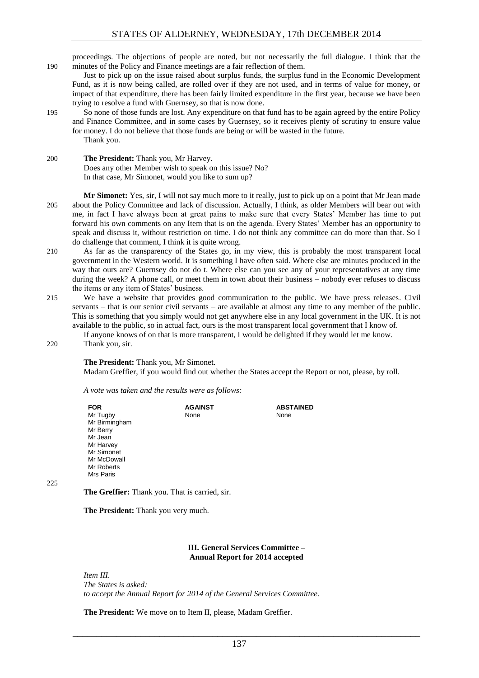proceedings. The objections of people are noted, but not necessarily the full dialogue. I think that the 190 minutes of the Policy and Finance meetings are a fair reflection of them.

Just to pick up on the issue raised about surplus funds, the surplus fund in the Economic Development Fund, as it is now being called, are rolled over if they are not used, and in terms of value for money, or impact of that expenditure, there has been fairly limited expenditure in the first year, because we have been trying to resolve a fund with Guernsey, so that is now done.

195 So none of those funds are lost. Any expenditure on that fund has to be again agreed by the entire Policy and Finance Committee, and in some cases by Guernsey, so it receives plenty of scrutiny to ensure value for money. I do not believe that those funds are being or will be wasted in the future. Thank you.

200 **The President:** Thank you, Mr Harvey. Does any other Member wish to speak on this issue? No? In that case, Mr Simonet, would you like to sum up?

**Mr Simonet:** Yes, sir, I will not say much more to it really, just to pick up on a point that Mr Jean made 205 about the Policy Committee and lack of discussion. Actually, I think, as older Members will bear out with me, in fact I have always been at great pains to make sure that every States' Member has time to put forward his own comments on any Item that is on the agenda. Every States' Member has an opportunity to speak and discuss it, without restriction on time. I do not think any committee can do more than that. So I do challenge that comment, I think it is quite wrong.

- 210 As far as the transparency of the States go, in my view, this is probably the most transparent local government in the Western world. It is something I have often said. Where else are minutes produced in the way that ours are? Guernsey do not do t. Where else can you see any of your representatives at any time during the week? A phone call, or meet them in town about their business – nobody ever refuses to discuss the items or any item of States' business.
- 215 We have a website that provides good communication to the public. We have press releases. Civil servants – that is our senior civil servants – are available at almost any time to any member of the public. This is something that you simply would not get anywhere else in any local government in the UK. It is not available to the public, so in actual fact, ours is the most transparent local government that I know of.

If anyone knows of on that is more transparent, I would be delighted if they would let me know.

220 Thank you, sir.

**The President:** Thank you, Mr Simonet.

Madam Greffier, if you would find out whether the States accept the Report or not, please, by roll.

*A vote was taken and the results were as follows:*

| FOR<br>Mr Tugby<br>Mr Birmingham<br>Mr Berry<br>Mr Jean<br>Mr Harvey<br>Mr Simonet<br>Mr McDowall<br>Mr Roberts | <b>AGAINST</b><br>None | <b>ABSTAINED</b><br>None |
|-----------------------------------------------------------------------------------------------------------------|------------------------|--------------------------|
| Mrs Paris                                                                                                       |                        |                          |

 $225$ 

**The Greffier:** Thank you. That is carried, sir.

**The President:** Thank you very much.

#### **III. General Services Committee – Annual Report for 2014 accepted**

<span id="page-6-0"></span>*Item III. The States is asked: to accept the Annual Report for 2014 of the General Services Committee.*

**The President:** We move on to Item II, please, Madam Greffier.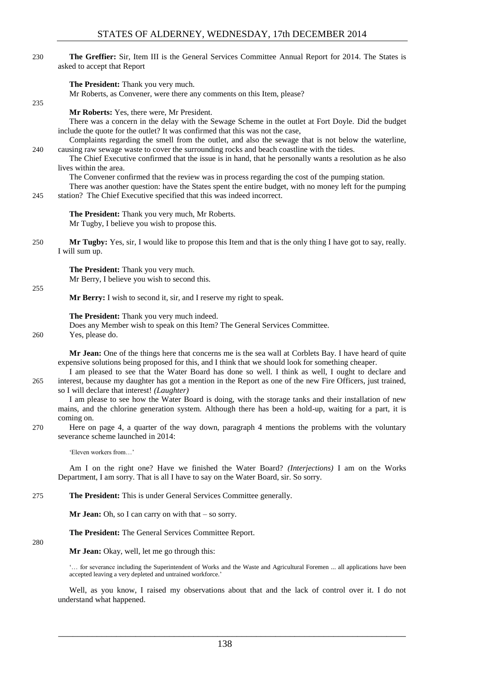230 **The Greffier:** Sir, Item III is the General Services Committee Annual Report for 2014. The States is asked to accept that Report

**The President:** Thank you very much.

Mr Roberts, as Convener, were there any comments on this Item, please?

**Mr Roberts:** Yes, there were, Mr President.

There was a concern in the delay with the Sewage Scheme in the outlet at Fort Doyle. Did the budget include the quote for the outlet? It was confirmed that this was not the case,

Complaints regarding the smell from the outlet, and also the sewage that is not below the waterline, 240 causing raw sewage waste to cover the surrounding rocks and beach coastline with the tides.

The Chief Executive confirmed that the issue is in hand, that he personally wants a resolution as he also lives within the area.

The Convener confirmed that the review was in process regarding the cost of the pumping station.

There was another question: have the States spent the entire budget, with no money left for the pumping 245 station? The Chief Executive specified that this was indeed incorrect.

**The President:** Thank you very much, Mr Roberts. Mr Tugby, I believe you wish to propose this.

250 **Mr Tugby:** Yes, sir, I would like to propose this Item and that is the only thing I have got to say, really. I will sum up.

> **The President:** Thank you very much. Mr Berry, I believe you wish to second this.

255

235

**Mr Berry:** I wish to second it, sir, and I reserve my right to speak.

**The President:** Thank you very much indeed.

Does any Member wish to speak on this Item? The General Services Committee.

260 Yes, please do.

**Mr Jean:** One of the things here that concerns me is the sea wall at Corblets Bay. I have heard of quite expensive solutions being proposed for this, and I think that we should look for something cheaper.

I am pleased to see that the Water Board has done so well. I think as well, I ought to declare and 265 interest, because my daughter has got a mention in the Report as one of the new Fire Officers, just trained, so I will declare that interest! *(Laughter)* 

I am please to see how the Water Board is doing, with the storage tanks and their installation of new mains, and the chlorine generation system. Although there has been a hold-up, waiting for a part, it is coming on.

270 Here on page 4, a quarter of the way down, paragraph 4 mentions the problems with the voluntary severance scheme launched in 2014:

'Eleven workers from…'

Am I on the right one? Have we finished the Water Board? *(Interjections)* I am on the Works Department, I am sorry. That is all I have to say on the Water Board, sir. So sorry.

275 **The President:** This is under General Services Committee generally.

**Mr Jean:** Oh, so I can carry on with that – so sorry.

**The President:** The General Services Committee Report.

#### 280

**Mr Jean:** Okay, well, let me go through this:

'… for severance including the Superintendent of Works and the Waste and Agricultural Foremen ... all applications have been accepted leaving a very depleted and untrained workforce.'

Well, as you know, I raised my observations about that and the lack of control over it. I do not understand what happened.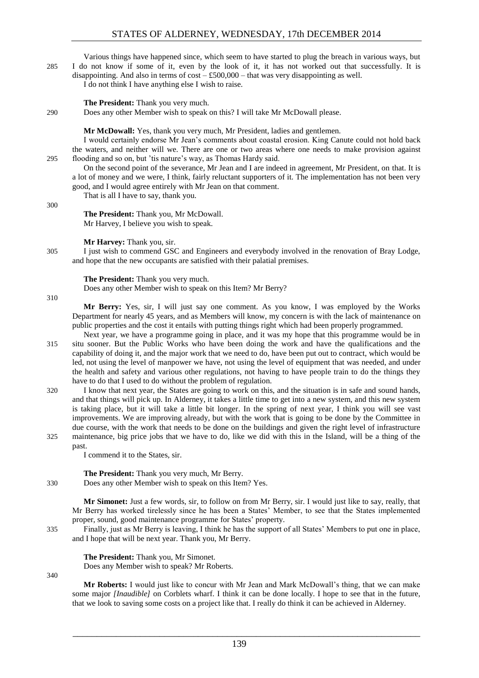Various things have happened since, which seem to have started to plug the breach in various ways, but 285 I do not know if some of it, even by the look of it, it has not worked out that successfully. It is disappointing. And also in terms of  $\cos(-\text{\pounds}500,000 - \text{that was very disappointing as well.}$ 

I do not think I have anything else I wish to raise.

**The President:** Thank you very much.

290 Does any other Member wish to speak on this? I will take Mr McDowall please.

**Mr McDowall:** Yes, thank you very much, Mr President, ladies and gentlemen.

I would certainly endorse Mr Jean's comments about coastal erosion. King Canute could not hold back the waters, and neither will we. There are one or two areas where one needs to make provision against 295 flooding and so on, but 'tis nature's way, as Thomas Hardy said.

On the second point of the severance, Mr Jean and I are indeed in agreement, Mr President, on that. It is a lot of money and we were, I think, fairly reluctant supporters of it. The implementation has not been very good, and I would agree entirely with Mr Jean on that comment.

That is all I have to say, thank you.

300

**The President:** Thank you, Mr McDowall. Mr Harvey, I believe you wish to speak.

**Mr Harvey:** Thank you, sir.

305 I just wish to commend GSC and Engineers and everybody involved in the renovation of Bray Lodge, and hope that the new occupants are satisfied with their palatial premises.

**The President:** Thank you very much.

Does any other Member wish to speak on this Item? Mr Berry?

310

**Mr Berry:** Yes, sir, I will just say one comment. As you know, I was employed by the Works Department for nearly 45 years, and as Members will know, my concern is with the lack of maintenance on public properties and the cost it entails with putting things right which had been properly programmed.

Next year, we have a programme going in place, and it was my hope that this programme would be in 315 situ sooner. But the Public Works who have been doing the work and have the qualifications and the capability of doing it, and the major work that we need to do, have been put out to contract, which would be led, not using the level of manpower we have, not using the level of equipment that was needed, and under the health and safety and various other regulations, not having to have people train to do the things they have to do that I used to do without the problem of regulation.

320 I know that next year, the States are going to work on this, and the situation is in safe and sound hands, and that things will pick up. In Alderney, it takes a little time to get into a new system, and this new system is taking place, but it will take a little bit longer. In the spring of next year, I think you will see vast improvements. We are improving already, but with the work that is going to be done by the Committee in due course, with the work that needs to be done on the buildings and given the right level of infrastructure 325 maintenance, big price jobs that we have to do, like we did with this in the Island, will be a thing of the past.

I commend it to the States, sir.

**The President:** Thank you very much, Mr Berry.

330 Does any other Member wish to speak on this Item? Yes.

**Mr Simonet:** Just a few words, sir, to follow on from Mr Berry, sir. I would just like to say, really, that Mr Berry has worked tirelessly since he has been a States' Member, to see that the States implemented proper, sound, good maintenance programme for States' property.

335 Finally, just as Mr Berry is leaving, I think he has the support of all States' Members to put one in place, and I hope that will be next year. Thank you, Mr Berry.

#### **The President:** Thank you, Mr Simonet.

Does any Member wish to speak? Mr Roberts.

340

**Mr Roberts:** I would just like to concur with Mr Jean and Mark McDowall's thing, that we can make some major *[Inaudible]* on Corblets wharf. I think it can be done locally. I hope to see that in the future, that we look to saving some costs on a project like that. I really do think it can be achieved in Alderney.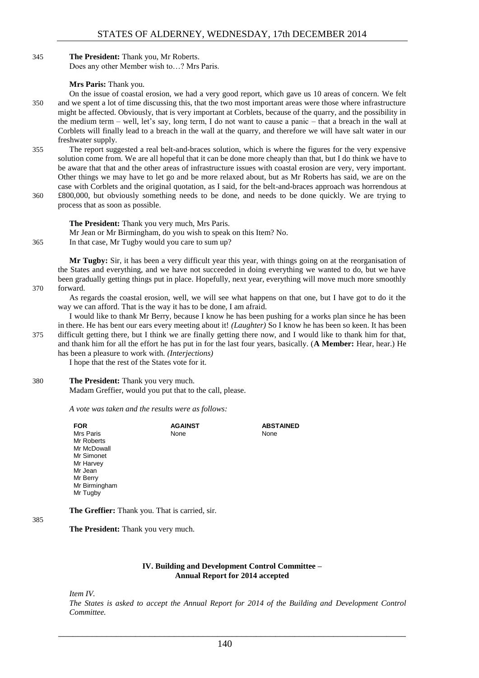#### 345 **The President:** Thank you, Mr Roberts. Does any other Member wish to…? Mrs Paris.

#### **Mrs Paris:** Thank you.

- On the issue of coastal erosion, we had a very good report, which gave us 10 areas of concern. We felt 350 and we spent a lot of time discussing this, that the two most important areas were those where infrastructure might be affected. Obviously, that is very important at Corblets, because of the quarry, and the possibility in the medium term – well, let's say, long term, I do not want to cause a panic – that a breach in the wall at Corblets will finally lead to a breach in the wall at the quarry, and therefore we will have salt water in our freshwater supply.
- 355 The report suggested a real belt-and-braces solution, which is where the figures for the very expensive solution come from. We are all hopeful that it can be done more cheaply than that, but I do think we have to be aware that that and the other areas of infrastructure issues with coastal erosion are very, very important. Other things we may have to let go and be more relaxed about, but as Mr Roberts has said, we are on the case with Corblets and the original quotation, as I said, for the belt-and-braces approach was horrendous at
- 360 £800,000, but obviously something needs to be done, and needs to be done quickly. We are trying to process that as soon as possible.

**The President:** Thank you very much, Mrs Paris. Mr Jean or Mr Birmingham, do you wish to speak on this Item? No. 365 In that case, Mr Tugby would you care to sum up?

**Mr Tugby:** Sir, it has been a very difficult year this year, with things going on at the reorganisation of the States and everything, and we have not succeeded in doing everything we wanted to do, but we have been gradually getting things put in place. Hopefully, next year, everything will move much more smoothly 370 forward.

As regards the coastal erosion, well, we will see what happens on that one, but I have got to do it the way we can afford. That is the way it has to be done, I am afraid.

I would like to thank Mr Berry, because I know he has been pushing for a works plan since he has been in there. He has bent our ears every meeting about it! *(Laughter)* So I know he has been so keen. It has been 375 difficult getting there, but I think we are finally getting there now, and I would like to thank him for that, and thank him for all the effort he has put in for the last four years, basically. (**A Member:** Hear, hear.) He has been a pleasure to work with*. (Interjections)*

I hope that the rest of the States vote for it.

#### 380 **The President:** Thank you very much.

Madam Greffier, would you put that to the call, please.

*A vote was taken and the results were as follows:*

| <b>FOR</b>    | <b>AGAINST</b> | <b>ABSTAINED</b> |
|---------------|----------------|------------------|
| Mrs Paris     | None           | None             |
| Mr Roberts    |                |                  |
| Mr McDowall   |                |                  |
| Mr Simonet    |                |                  |
| Mr Harvey     |                |                  |
| Mr Jean       |                |                  |
| Mr Berry      |                |                  |
| Mr Birmingham |                |                  |
| Mr Tugby      |                |                  |
|               |                |                  |

385

### **The President:** Thank you very much.

**The Greffier:** Thank you. That is carried, sir.

#### **IV. Building and Development Control Committee – Annual Report for 2014 accepted**

<span id="page-9-0"></span>*Item IV.*

*The States is asked to accept the Annual Report for 2014 of the Building and Development Control Committee.*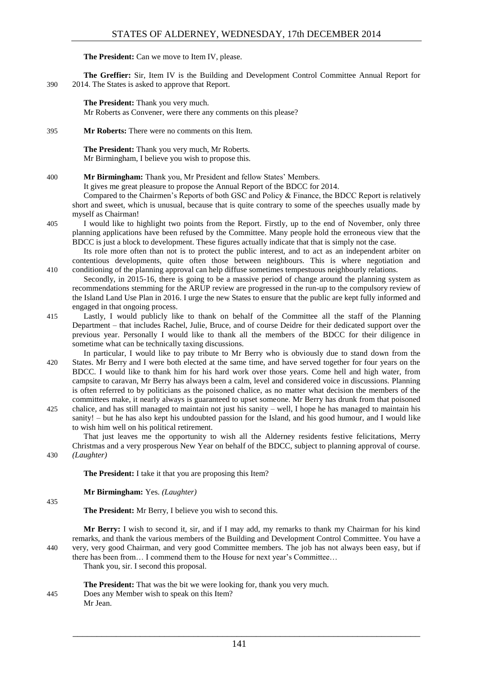**The President:** Can we move to Item IV, please.

**The Greffier:** Sir, Item IV is the Building and Development Control Committee Annual Report for 390 2014. The States is asked to approve that Report.

**The President:** Thank you very much.

Mr Roberts as Convener, were there any comments on this please?

395 **Mr Roberts:** There were no comments on this Item.

**The President:** Thank you very much, Mr Roberts. Mr Birmingham, I believe you wish to propose this.

400 **Mr Birmingham:** Thank you, Mr President and fellow States' Members.

It gives me great pleasure to propose the Annual Report of the BDCC for 2014.

Compared to the Chairmen's Reports of both GSC and Policy & Finance, the BDCC Report is relatively short and sweet, which is unusual, because that is quite contrary to some of the speeches usually made by myself as Chairman!

405 I would like to highlight two points from the Report. Firstly, up to the end of November, only three planning applications have been refused by the Committee. Many people hold the erroneous view that the BDCC is just a block to development. These figures actually indicate that that is simply not the case.

Its role more often than not is to protect the public interest, and to act as an independent arbiter on contentious developments, quite often those between neighbours. This is where negotiation and 410 conditioning of the planning approval can help diffuse sometimes tempestuous neighbourly relations.

Secondly, in 2015-16, there is going to be a massive period of change around the planning system as recommendations stemming for the ARUP review are progressed in the run-up to the compulsory review of the Island Land Use Plan in 2016. I urge the new States to ensure that the public are kept fully informed and engaged in that ongoing process.

415 Lastly, I would publicly like to thank on behalf of the Committee all the staff of the Planning Department – that includes Rachel, Julie, Bruce, and of course Deidre for their dedicated support over the previous year. Personally I would like to thank all the members of the BDCC for their diligence in sometime what can be technically taxing discussions.

In particular, I would like to pay tribute to Mr Berry who is obviously due to stand down from the 420 States. Mr Berry and I were both elected at the same time, and have served together for four years on the BDCC. I would like to thank him for his hard work over those years. Come hell and high water, from campsite to caravan, Mr Berry has always been a calm, level and considered voice in discussions. Planning is often referred to by politicians as the poisoned chalice, as no matter what decision the members of the committees make, it nearly always is guaranteed to upset someone. Mr Berry has drunk from that poisoned

425 chalice, and has still managed to maintain not just his sanity – well, I hope he has managed to maintain his sanity! – but he has also kept his undoubted passion for the Island, and his good humour, and I would like to wish him well on his political retirement.

That just leaves me the opportunity to wish all the Alderney residents festive felicitations, Merry Christmas and a very prosperous New Year on behalf of the BDCC, subject to planning approval of course. 430 *(Laughter)*

**The President:** I take it that you are proposing this Item?

**Mr Birmingham:** Yes. *(Laughter)*

435

**The President:** Mr Berry, I believe you wish to second this.

**Mr Berry:** I wish to second it, sir, and if I may add, my remarks to thank my Chairman for his kind remarks, and thank the various members of the Building and Development Control Committee. You have a 440 very, very good Chairman, and very good Committee members. The job has not always been easy, but if there has been from… I commend them to the House for next year's Committee…

Thank you, sir. I second this proposal.

**The President:** That was the bit we were looking for, thank you very much. 445 Does any Member wish to speak on this Item? Mr Jean.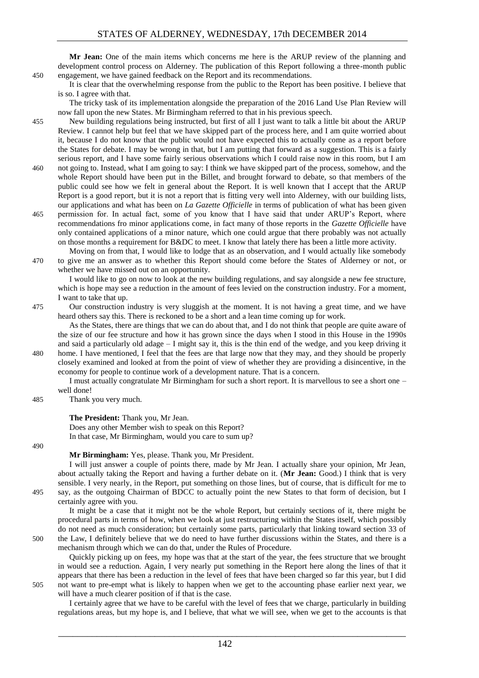**Mr Jean:** One of the main items which concerns me here is the ARUP review of the planning and development control process on Alderney. The publication of this Report following a three-month public 450 engagement, we have gained feedback on the Report and its recommendations.

It is clear that the overwhelming response from the public to the Report has been positive. I believe that is so. I agree with that.

The tricky task of its implementation alongside the preparation of the 2016 Land Use Plan Review will now fall upon the new States. Mr Birmingham referred to that in his previous speech.

- 455 New building regulations being instructed, but first of all I just want to talk a little bit about the ARUP Review. I cannot help but feel that we have skipped part of the process here, and I am quite worried about it, because I do not know that the public would not have expected this to actually come as a report before the States for debate. I may be wrong in that, but I am putting that forward as a suggestion. This is a fairly serious report, and I have some fairly serious observations which I could raise now in this room, but I am
- 460 not going to. Instead, what I am going to say: I think we have skipped part of the process, somehow, and the whole Report should have been put in the Billet, and brought forward to debate, so that members of the public could see how we felt in general about the Report. It is well known that I accept that the ARUP Report is a good report, but it is not a report that is fitting very well into Alderney, with our building lists, our applications and what has been on *La Gazette Officielle* in terms of publication of what has been given 465 permission for. In actual fact, some of you know that I have said that under ARUP's Report, where
	- recommendations fro minor applications come, in fact many of those reports in the *Gazette Officielle* have only contained applications of a minor nature, which one could argue that there probably was not actually on those months a requirement for B&DC to meet. I know that lately there has been a little more activity.
- Moving on from that, I would like to lodge that as an observation, and I would actually like somebody 470 to give me an answer as to whether this Report should come before the States of Alderney or not, or whether we have missed out on an opportunity.

I would like to go on now to look at the new building regulations, and say alongside a new fee structure, which is hope may see a reduction in the amount of fees levied on the construction industry. For a moment, I want to take that up.

475 Our construction industry is very sluggish at the moment. It is not having a great time, and we have heard others say this. There is reckoned to be a short and a lean time coming up for work.

As the States, there are things that we can do about that, and I do not think that people are quite aware of the size of our fee structure and how it has grown since the days when I stood in this House in the 1990s and said a particularly old adage – I might say it, this is the thin end of the wedge, and you keep driving it

480 home. I have mentioned, I feel that the fees are that large now that they may, and they should be properly closely examined and looked at from the point of view of whether they are providing a disincentive, in the economy for people to continue work of a development nature. That is a concern.

I must actually congratulate Mr Birmingham for such a short report. It is marvellous to see a short one – well done!

485 Thank you very much.

certainly agree with you.

**The President:** Thank you, Mr Jean.

Does any other Member wish to speak on this Report? In that case, Mr Birmingham, would you care to sum up?

490

**Mr Birmingham:** Yes, please. Thank you, Mr President.

I will just answer a couple of points there, made by Mr Jean. I actually share your opinion, Mr Jean, about actually taking the Report and having a further debate on it. (**Mr Jean:** Good.) I think that is very sensible. I very nearly, in the Report, put something on those lines, but of course, that is difficult for me to 495 say, as the outgoing Chairman of BDCC to actually point the new States to that form of decision, but I

It might be a case that it might not be the whole Report, but certainly sections of it, there might be procedural parts in terms of how, when we look at just restructuring within the States itself, which possibly do not need as much consideration; but certainly some parts, particularly that linking toward section 33 of 500 the Law, I definitely believe that we do need to have further discussions within the States, and there is a mechanism through which we can do that, under the Rules of Procedure.

Quickly picking up on fees, my hope was that at the start of the year, the fees structure that we brought in would see a reduction. Again, I very nearly put something in the Report here along the lines of that it appears that there has been a reduction in the level of fees that have been charged so far this year, but I did 505 not want to pre-empt what is likely to happen when we get to the accounting phase earlier next year, we will have a much clearer position of if that is the case.

I certainly agree that we have to be careful with the level of fees that we charge, particularly in building regulations areas, but my hope is, and I believe, that what we will see, when we get to the accounts is that